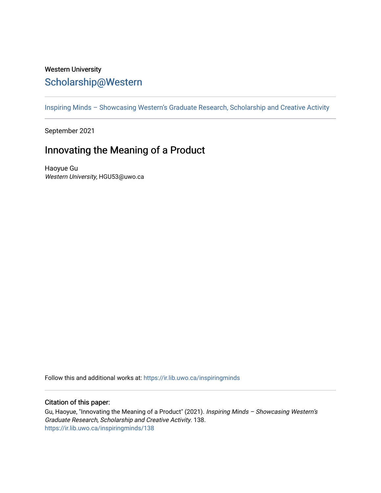## Western University [Scholarship@Western](https://ir.lib.uwo.ca/)

[Inspiring Minds – Showcasing Western's Graduate Research, Scholarship and Creative Activity](https://ir.lib.uwo.ca/inspiringminds) 

September 2021

## Innovating the Meaning of a Product

Haoyue Gu Western University, HGU53@uwo.ca

Follow this and additional works at: [https://ir.lib.uwo.ca/inspiringminds](https://ir.lib.uwo.ca/inspiringminds?utm_source=ir.lib.uwo.ca%2Finspiringminds%2F138&utm_medium=PDF&utm_campaign=PDFCoverPages) 

## Citation of this paper:

Gu, Haoyue, "Innovating the Meaning of a Product" (2021). Inspiring Minds – Showcasing Western's Graduate Research, Scholarship and Creative Activity. 138. [https://ir.lib.uwo.ca/inspiringminds/138](https://ir.lib.uwo.ca/inspiringminds/138?utm_source=ir.lib.uwo.ca%2Finspiringminds%2F138&utm_medium=PDF&utm_campaign=PDFCoverPages)